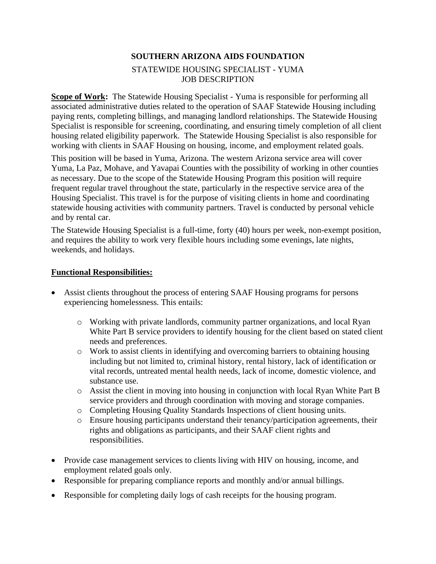## **SOUTHERN ARIZONA AIDS FOUNDATION** STATEWIDE HOUSING SPECIALIST - YUMA JOB DESCRIPTION

**Scope of Work:** The Statewide Housing Specialist - Yuma is responsible for performing all associated administrative duties related to the operation of SAAF Statewide Housing including paying rents, completing billings, and managing landlord relationships. The Statewide Housing Specialist is responsible for screening, coordinating, and ensuring timely completion of all client housing related eligibility paperwork. The Statewide Housing Specialist is also responsible for working with clients in SAAF Housing on housing, income, and employment related goals.

This position will be based in Yuma, Arizona. The western Arizona service area will cover Yuma, La Paz, Mohave, and Yavapai Counties with the possibility of working in other counties as necessary. Due to the scope of the Statewide Housing Program this position will require frequent regular travel throughout the state, particularly in the respective service area of the Housing Specialist. This travel is for the purpose of visiting clients in home and coordinating statewide housing activities with community partners. Travel is conducted by personal vehicle and by rental car.

The Statewide Housing Specialist is a full-time, forty (40) hours per week, non-exempt position, and requires the ability to work very flexible hours including some evenings, late nights, weekends, and holidays.

## **Functional Responsibilities:**

- Assist clients throughout the process of entering SAAF Housing programs for persons experiencing homelessness. This entails:
	- o Working with private landlords, community partner organizations, and local Ryan White Part B service providers to identify housing for the client based on stated client needs and preferences.
	- o Work to assist clients in identifying and overcoming barriers to obtaining housing including but not limited to, criminal history, rental history, lack of identification or vital records, untreated mental health needs, lack of income, domestic violence, and substance use.
	- o Assist the client in moving into housing in conjunction with local Ryan White Part B service providers and through coordination with moving and storage companies.
	- o Completing Housing Quality Standards Inspections of client housing units.
	- o Ensure housing participants understand their tenancy/participation agreements, their rights and obligations as participants, and their SAAF client rights and responsibilities.
- Provide case management services to clients living with HIV on housing, income, and employment related goals only.
- Responsible for preparing compliance reports and monthly and/or annual billings.
- Responsible for completing daily logs of cash receipts for the housing program.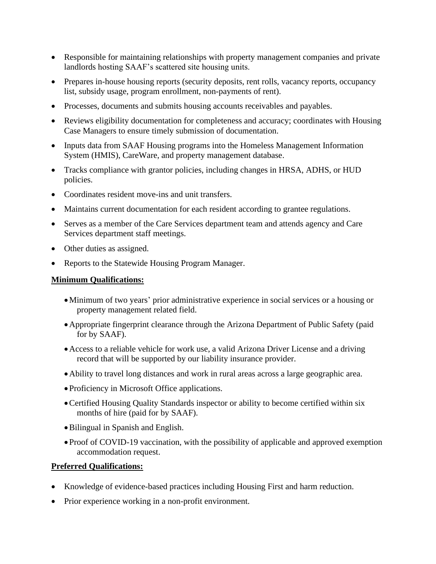- Responsible for maintaining relationships with property management companies and private landlords hosting SAAF's scattered site housing units.
- Prepares in-house housing reports (security deposits, rent rolls, vacancy reports, occupancy list, subsidy usage, program enrollment, non-payments of rent).
- Processes, documents and submits housing accounts receivables and payables.
- Reviews eligibility documentation for completeness and accuracy; coordinates with Housing Case Managers to ensure timely submission of documentation.
- Inputs data from SAAF Housing programs into the Homeless Management Information System (HMIS), CareWare, and property management database.
- Tracks compliance with grantor policies, including changes in HRSA, ADHS, or HUD policies.
- Coordinates resident move-ins and unit transfers.
- Maintains current documentation for each resident according to grantee regulations.
- Serves as a member of the Care Services department team and attends agency and Care Services department staff meetings.
- Other duties as assigned.
- Reports to the Statewide Housing Program Manager.

## **Minimum Qualifications:**

- •Minimum of two years' prior administrative experience in social services or a housing or property management related field.
- •Appropriate fingerprint clearance through the Arizona Department of Public Safety (paid for by SAAF).
- •Access to a reliable vehicle for work use, a valid Arizona Driver License and a driving record that will be supported by our liability insurance provider.
- •Ability to travel long distances and work in rural areas across a large geographic area.
- Proficiency in Microsoft Office applications.
- •Certified Housing Quality Standards inspector or ability to become certified within six months of hire (paid for by SAAF).
- •Bilingual in Spanish and English.
- Proof of COVID-19 vaccination, with the possibility of applicable and approved exemption accommodation request.

## **Preferred Qualifications:**

- Knowledge of evidence-based practices including Housing First and harm reduction.
- Prior experience working in a non-profit environment.